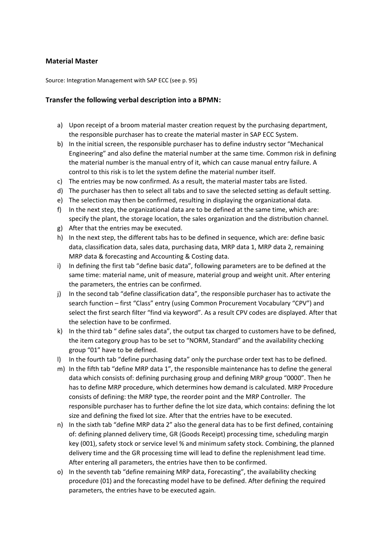## **Material Master**

Source: Integration Management with SAP ECC (see p. 95)

## **Transfer the following verbal description into a BPMN:**

- a) Upon receipt of a broom material master creation request by the purchasing department, the responsible purchaser has to create the material master in SAP ECC System.
- b) In the initial screen, the responsible purchaser has to define industry sector "Mechanical Engineering" and also define the material number at the same time. Common risk in defining the material number is the manual entry of it, which can cause manual entry failure. A control to this risk is to let the system define the material number itself.
- c) The entries may be now confirmed. As a result, the material master tabs are listed.
- d) The purchaser has then to select all tabs and to save the selected setting as default setting.
- e) The selection may then be confirmed, resulting in displaying the organizational data.
- f) In the next step, the organizational data are to be defined at the same time, which are: specify the plant, the storage location, the sales organization and the distribution channel.
- g) After that the entries may be executed.
- h) In the next step, the different tabs has to be defined in sequence, which are: define basic data, classification data, sales data, purchasing data, MRP data 1, MRP data 2, remaining MRP data & forecasting and Accounting & Costing data.
- i) In defining the first tab "define basic data", following parameters are to be defined at the same time: material name, unit of measure, material group and weight unit. After entering the parameters, the entries can be confirmed.
- j) In the second tab "define classification data", the responsible purchaser has to activate the search function – first "Class" entry (using Common Procurement Vocabulary "CPV") and select the first search filter "find via keyword". As a result CPV codes are displayed. After that the selection have to be confirmed.
- k) In the third tab " define sales data", the output tax charged to customers have to be defined, the item category group has to be set to "NORM, Standard" and the availability checking group "01" have to be defined.
- l) In the fourth tab "define purchasing data" only the purchase order text has to be defined.
- m) In the fifth tab "define MRP data 1", the responsible maintenance has to define the general data which consists of: defining purchasing group and defining MRP group "0000". Then he has to define MRP procedure, which determines how demand is calculated. MRP Procedure consists of defining: the MRP type, the reorder point and the MRP Controller. The responsible purchaser has to further define the lot size data, which contains: defining the lot size and defining the fixed lot size. After that the entries have to be executed.
- n) In the sixth tab "define MRP data 2" also the general data has to be first defined, containing of: defining planned delivery time, GR (Goods Receipt) processing time, scheduling margin key (001), safety stock or service level % and minimum safety stock. Combining, the planned delivery time and the GR processing time will lead to define the replenishment lead time. After entering all parameters, the entries have then to be confirmed.
- o) In the seventh tab "define remaining MRP data, Forecasting", the availability checking procedure (01) and the forecasting model have to be defined. After defining the required parameters, the entries have to be executed again.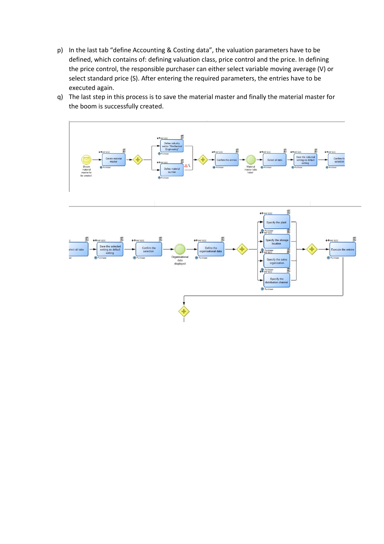- p) In the last tab "define Accounting & Costing data", the valuation parameters have to be defined, which contains of: defining valuation class, price control and the price. In defining the price control, the responsible purchaser can either select variable moving average (V) or select standard price (S). After entering the required parameters, the entries have to be executed again.
- q) The last step in this process is to save the material master and finally the material master for the boom is successfully created.

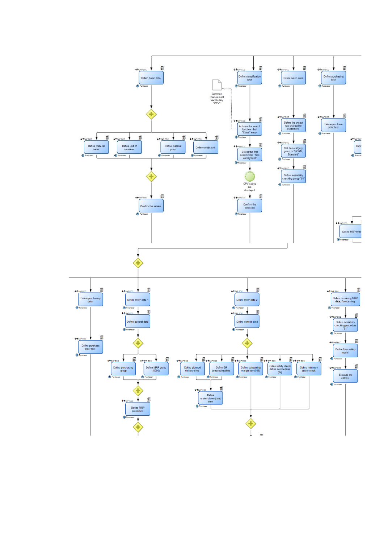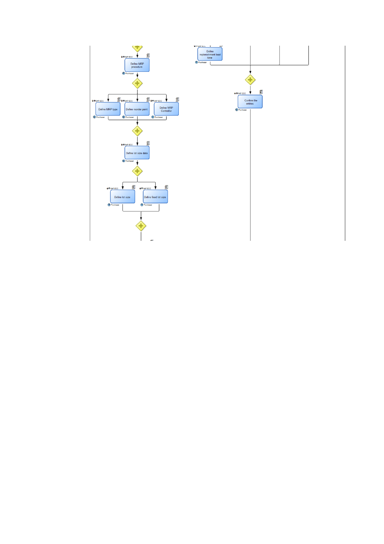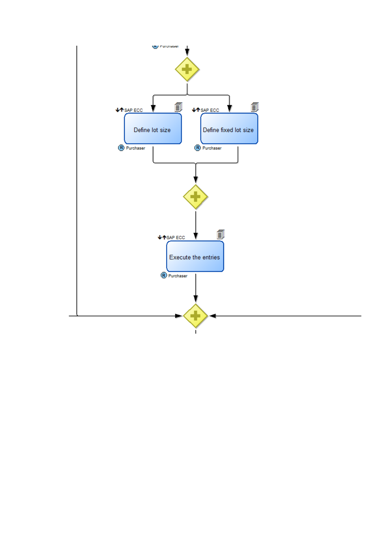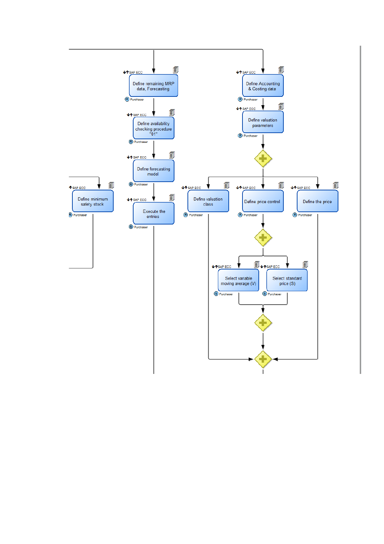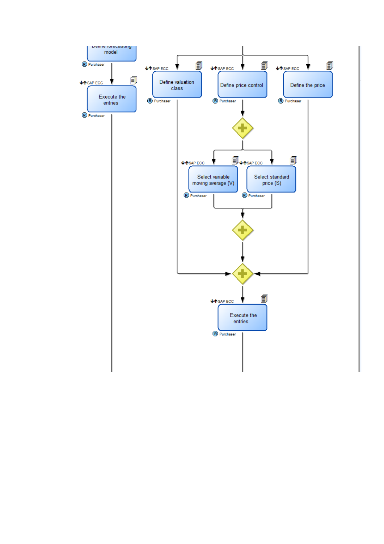